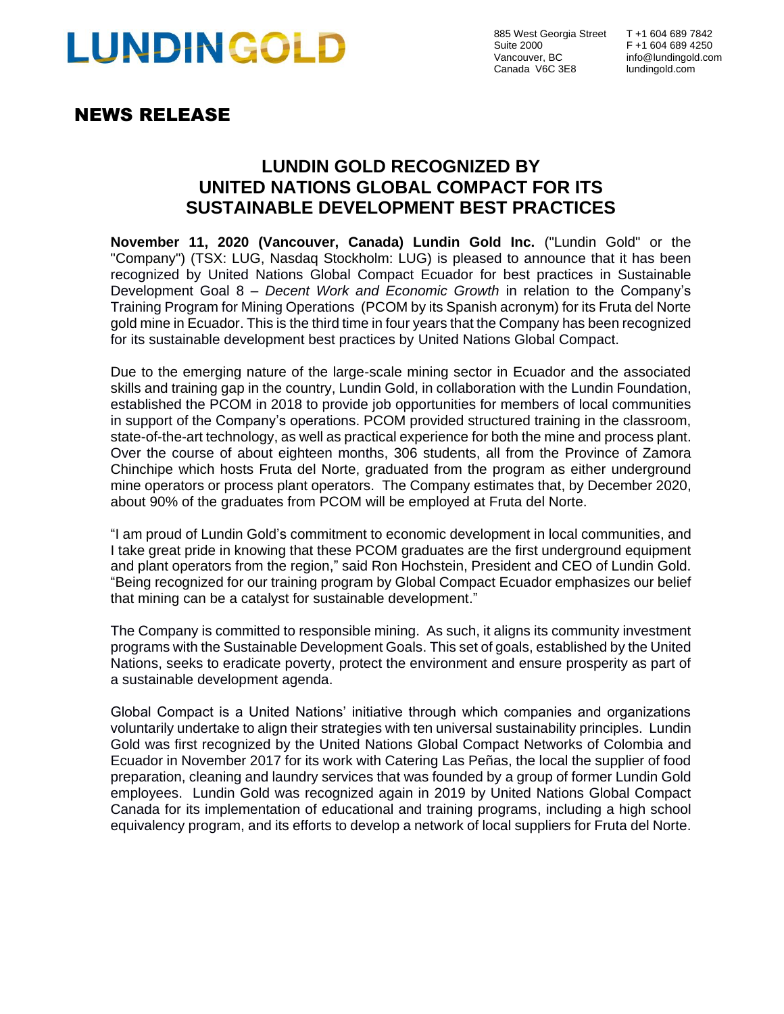# **LUNDINGOLD**

885 West Georgia Street T +1 604 689 7842 Suite 2000 F +1 604 689 4250<br>Vancouver, BC info@lundingold.com Canada V6C 3E8 lundingold.com

# NEWS RELEASE

# **LUNDIN GOLD RECOGNIZED BY UNITED NATIONS GLOBAL COMPACT FOR ITS SUSTAINABLE DEVELOPMENT BEST PRACTICES**

**November 11, 2020 (Vancouver, Canada) Lundin Gold Inc.** ("Lundin Gold" or the "Company") (TSX: LUG, Nasdaq Stockholm: LUG) is pleased to announce that it has been recognized by United Nations Global Compact Ecuador for best practices in Sustainable Development Goal 8 – *Decent Work and Economic Growth* in relation to the Company's Training Program for Mining Operations (PCOM by its Spanish acronym) for its Fruta del Norte gold mine in Ecuador. This is the third time in four years that the Company has been recognized for its sustainable development best practices by United Nations Global Compact.

Due to the emerging nature of the large-scale mining sector in Ecuador and the associated skills and training gap in the country, Lundin Gold, in collaboration with the Lundin Foundation, established the PCOM in 2018 to provide job opportunities for members of local communities in support of the Company's operations. PCOM provided structured training in the classroom, state-of-the-art technology, as well as practical experience for both the mine and process plant. Over the course of about eighteen months, 306 students, all from the Province of Zamora Chinchipe which hosts Fruta del Norte, graduated from the program as either underground mine operators or process plant operators.The Company estimates that, by December 2020, about 90% of the graduates from PCOM will be employed at Fruta del Norte.

"I am proud of Lundin Gold's commitment to economic development in local communities, and I take great pride in knowing that these PCOM graduates are the first underground equipment and plant operators from the region," said Ron Hochstein, President and CEO of Lundin Gold. "Being recognized for our training program by Global Compact Ecuador emphasizes our belief that mining can be a catalyst for sustainable development."

The Company is committed to responsible mining. As such, it aligns its community investment programs with the Sustainable Development Goals. This set of goals, established by the United Nations, seeks to eradicate poverty, protect the environment and ensure prosperity as part of a sustainable development agenda.

Global Compact is a United Nations' initiative through which companies and organizations voluntarily undertake to align their strategies with ten universal sustainability principles. Lundin Gold was first recognized by the United Nations Global Compact Networks of Colombia and Ecuador in November 2017 for its work with Catering Las Peñas, the local the supplier of food preparation, cleaning and laundry services that was founded by a group of former Lundin Gold employees. Lundin Gold was recognized again in 2019 by United Nations Global Compact Canada for its implementation of educational and training programs, including a high school equivalency program, and its efforts to develop a network of local suppliers for Fruta del Norte.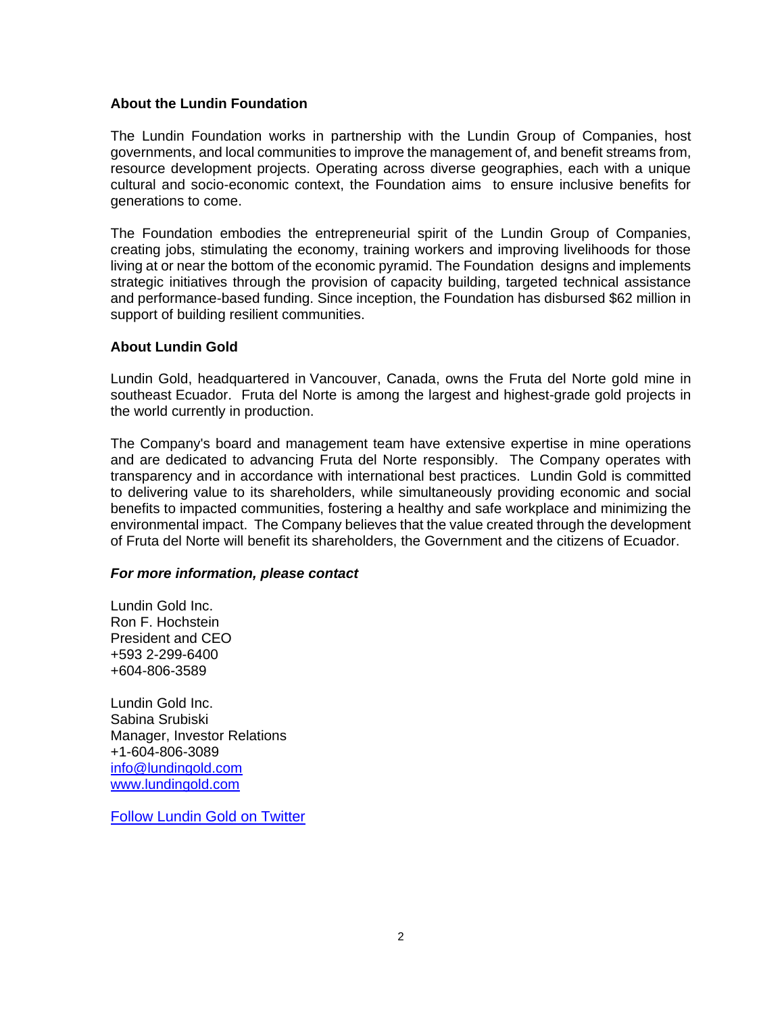## **About the Lundin Foundation**

The Lundin Foundation works in partnership with the Lundin Group of Companies, host governments, and local communities to improve the management of, and benefit streams from, resource development projects. Operating across diverse geographies, each with a unique cultural and socio-economic context, the Foundation aims to ensure inclusive benefits for generations to come.

The Foundation embodies the entrepreneurial spirit of the Lundin Group of Companies, creating jobs, stimulating the economy, training workers and improving livelihoods for those living at or near the bottom of the economic pyramid. The Foundation designs and implements strategic initiatives through the provision of capacity building, targeted technical assistance and performance-based funding. Since inception, the Foundation has disbursed \$62 million in support of building resilient communities.

### **About Lundin Gold**

Lundin Gold, headquartered in Vancouver, Canada, owns the Fruta del Norte gold mine in southeast Ecuador. Fruta del Norte is among the largest and highest-grade gold projects in the world currently in production.

The Company's board and management team have extensive expertise in mine operations and are dedicated to advancing Fruta del Norte responsibly. The Company operates with transparency and in accordance with international best practices. Lundin Gold is committed to delivering value to its shareholders, while simultaneously providing economic and social benefits to impacted communities, fostering a healthy and safe workplace and minimizing the environmental impact. The Company believes that the value created through the development of Fruta del Norte will benefit its shareholders, the Government and the citizens of Ecuador.

### *For more information, please contact*

Lundin Gold Inc. Ron F. Hochstein President and CEO +593 2-299-6400 +604-806-3589

Lundin Gold Inc. Sabina Srubiski Manager, Investor Relations +1-604-806-3089 [info@lundingold.com](mailto:info@lundingold.com) [www.lundingold.com](http://www.lundingold.com/)

[Follow Lundin Gold on Twitter](https://twitter.com/LundinGold)